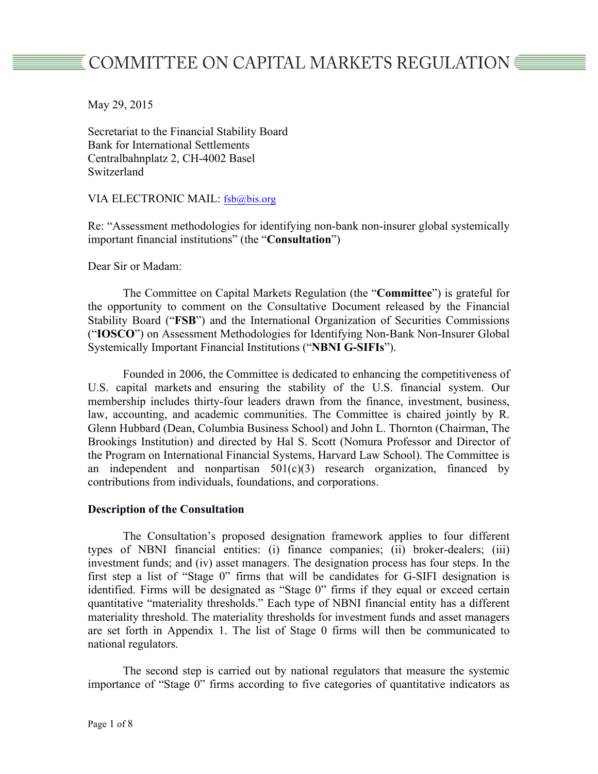# COMMITTEE ON CAPITAL MARKETS REGULATION ■

May 29, 2015

Secretariat to the Financial Stability Board Bank for International Settlements Centralbahnplatz 2, CH-4002 Basel Switzerland

VIA ELECTRONIC MAIL: fsb@bis.org

Re: "Assessment methodologies for identifying non-bank non-insurer global systemically important financial institutions" (the "**Consultation**")

Dear Sir or Madam:

The Committee on Capital Markets Regulation (the "**Committee**") is grateful for the opportunity to comment on the Consultative Document released by the Financial Stability Board ("**FSB**") and the International Organization of Securities Commissions ("**IOSCO**") on Assessment Methodologies for Identifying Non-Bank Non-Insurer Global Systemically Important Financial Institutions ("**NBNI G-SIFIs**").

Founded in 2006, the Committee is dedicated to enhancing the competitiveness of U.S. capital markets and ensuring the stability of the U.S. financial system. Our membership includes thirty-four leaders drawn from the finance, investment, business, law, accounting, and academic communities. The Committee is chaired jointly by R. Glenn Hubbard (Dean, Columbia Business School) and John L. Thornton (Chairman, The Brookings Institution) and directed by Hal S. Scott (Nomura Professor and Director of the Program on International Financial Systems, Harvard Law School). The Committee is an independent and nonpartisan  $501(c)(3)$  research organization, financed by contributions from individuals, foundations, and corporations.

## **Description of the Consultation**

The Consultation's proposed designation framework applies to four different types of NBNI financial entities: (i) finance companies; (ii) broker-dealers; (iii) investment funds; and (iv) asset managers. The designation process has four steps. In the first step a list of "Stage 0" firms that will be candidates for G-SIFI designation is identified. Firms will be designated as "Stage 0" firms if they equal or exceed certain quantitative "materiality thresholds." Each type of NBNI financial entity has a different materiality threshold. The materiality thresholds for investment funds and asset managers are set forth in Appendix 1. The list of Stage 0 firms will then be communicated to national regulators.

The second step is carried out by national regulators that measure the systemic importance of "Stage 0" firms according to five categories of quantitative indicators as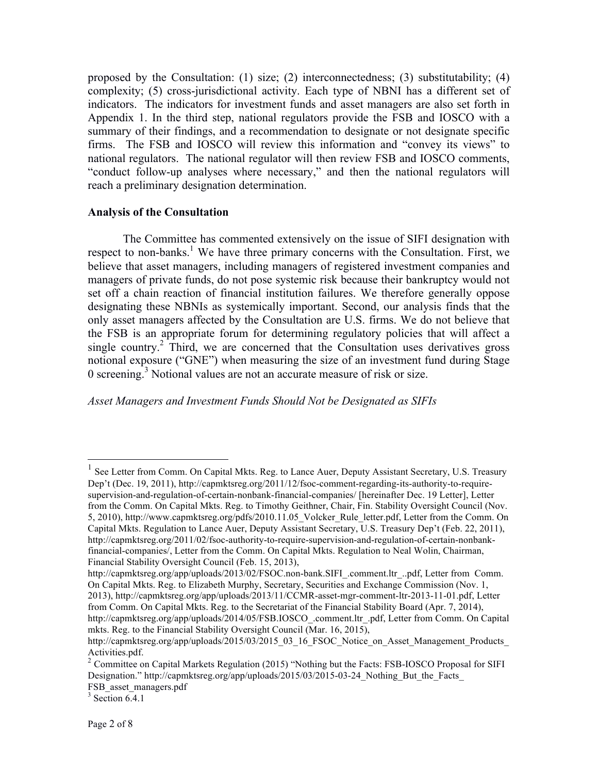proposed by the Consultation: (1) size; (2) interconnectedness; (3) substitutability; (4) complexity; (5) cross-jurisdictional activity. Each type of NBNI has a different set of indicators. The indicators for investment funds and asset managers are also set forth in Appendix 1. In the third step, national regulators provide the FSB and IOSCO with a summary of their findings, and a recommendation to designate or not designate specific firms. The FSB and IOSCO will review this information and "convey its views" to national regulators. The national regulator will then review FSB and IOSCO comments, "conduct follow-up analyses where necessary," and then the national regulators will reach a preliminary designation determination.

#### **Analysis of the Consultation**

The Committee has commented extensively on the issue of SIFI designation with respect to non-banks.<sup>1</sup> We have three primary concerns with the Consultation. First, we believe that asset managers, including managers of registered investment companies and managers of private funds, do not pose systemic risk because their bankruptcy would not set off a chain reaction of financial institution failures. We therefore generally oppose designating these NBNIs as systemically important. Second, our analysis finds that the only asset managers affected by the Consultation are U.S. firms. We do not believe that the FSB is an appropriate forum for determining regulatory policies that will affect a single country.<sup>2</sup> Third, we are concerned that the Consultation uses derivatives gross notional exposure ("GNE") when measuring the size of an investment fund during Stage 0 screening.<sup>3</sup> Notional values are not an accurate measure of risk or size.

*Asset Managers and Investment Funds Should Not be Designated as SIFIs*

 $<sup>1</sup>$  See Letter from Comm. On Capital Mkts. Reg. to Lance Auer, Deputy Assistant Secretary, U.S. Treasury</sup> Dep't (Dec. 19, 2011), http://capmktsreg.org/2011/12/fsoc-comment-regarding-its-authority-to-requiresupervision-and-regulation-of-certain-nonbank-financial-companies/ [hereinafter Dec. 19 Letter], Letter from the Comm. On Capital Mkts. Reg. to Timothy Geithner, Chair, Fin. Stability Oversight Council (Nov. 5, 2010), http://www.capmktsreg.org/pdfs/2010.11.05\_Volcker\_Rule\_letter.pdf, Letter from the Comm. On Capital Mkts. Regulation to Lance Auer, Deputy Assistant Secretary, U.S. Treasury Dep't (Feb. 22, 2011), http://capmktsreg.org/2011/02/fsoc-authority-to-require-supervision-and-regulation-of-certain-nonbankfinancial-companies/, Letter from the Comm. On Capital Mkts. Regulation to Neal Wolin, Chairman, Financial Stability Oversight Council (Feb. 15, 2013),

http://capmktsreg.org/app/uploads/2013/02/FSOC.non-bank.SIFI\_.comment.ltr\_..pdf, Letter from Comm. On Capital Mkts. Reg. to Elizabeth Murphy, Secretary, Securities and Exchange Commission (Nov. 1, 2013), http://capmktsreg.org/app/uploads/2013/11/CCMR-asset-mgr-comment-ltr-2013-11-01.pdf, Letter from Comm. On Capital Mkts. Reg. to the Secretariat of the Financial Stability Board (Apr. 7, 2014), http://capmktsreg.org/app/uploads/2014/05/FSB.IOSCO\_.comment.ltr\_.pdf, Letter from Comm. On Capital mkts. Reg. to the Financial Stability Oversight Council (Mar. 16, 2015),

http://capmktsreg.org/app/uploads/2015/03/2015\_03\_16\_FSOC\_Notice\_on\_Asset\_Management\_Products

Activities.pdf.<br><sup>2</sup> Committee on Capital Markets Regulation (2015) "Nothing but the Facts: FSB-IOSCO Proposal for SIFI Designation." http://capmktsreg.org/app/uploads/2015/03/2015-03-24 Nothing But the Facts FSB asset managers.pdf

 $3$  Section 6.4.1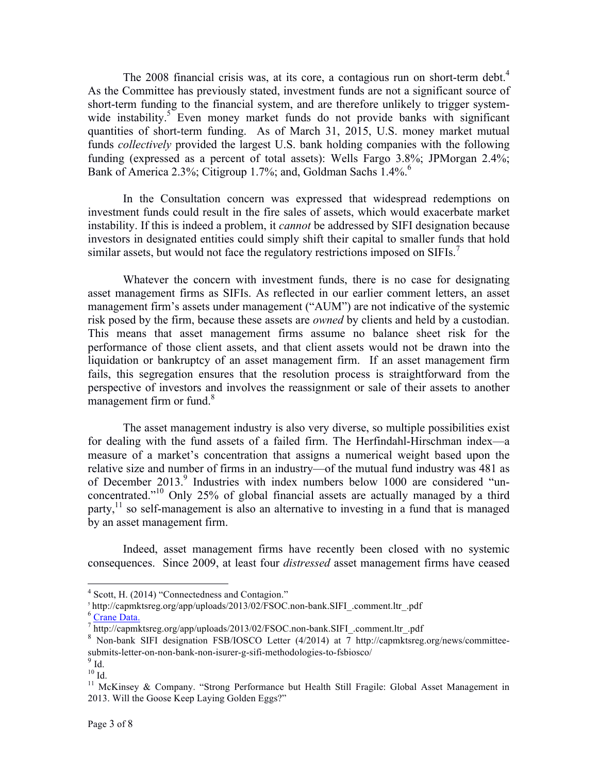The 2008 financial crisis was, at its core, a contagious run on short-term debt.<sup>4</sup> As the Committee has previously stated, investment funds are not a significant source of short-term funding to the financial system, and are therefore unlikely to trigger systemwide instability.<sup>5</sup> Even money market funds do not provide banks with significant quantities of short-term funding. As of March 31, 2015, U.S. money market mutual funds *collectively* provided the largest U.S. bank holding companies with the following funding (expressed as a percent of total assets): Wells Fargo 3.8%; JPMorgan 2.4%; Bank of America 2.3%; Citigroup 1.7%; and, Goldman Sachs  $1.4\%$ .<sup>6</sup>

In the Consultation concern was expressed that widespread redemptions on investment funds could result in the fire sales of assets, which would exacerbate market instability. If this is indeed a problem, it *cannot* be addressed by SIFI designation because investors in designated entities could simply shift their capital to smaller funds that hold similar assets, but would not face the regulatory restrictions imposed on SIFIs.<sup>7</sup>

Whatever the concern with investment funds, there is no case for designating asset management firms as SIFIs. As reflected in our earlier comment letters, an asset management firm's assets under management ("AUM") are not indicative of the systemic risk posed by the firm, because these assets are *owned* by clients and held by a custodian. This means that asset management firms assume no balance sheet risk for the performance of those client assets, and that client assets would not be drawn into the liquidation or bankruptcy of an asset management firm. If an asset management firm fails, this segregation ensures that the resolution process is straightforward from the perspective of investors and involves the reassignment or sale of their assets to another management firm or fund.<sup>8</sup>

The asset management industry is also very diverse, so multiple possibilities exist for dealing with the fund assets of a failed firm. The Herfindahl-Hirschman index—a measure of a market's concentration that assigns a numerical weight based upon the relative size and number of firms in an industry—of the mutual fund industry was 481 as of December 2013.<sup>9</sup> Industries with index numbers below 1000 are considered "unconcentrated."10 Only 25% of global financial assets are actually managed by a third party,<sup>11</sup> so self-management is also an alternative to investing in a fund that is managed by an asset management firm.

Indeed, asset management firms have recently been closed with no systemic consequences. Since 2009, at least four *distressed* asset management firms have ceased

 <sup>4</sup> Scott, H. (2014) "Connectedness and Contagion."

 $^{\rm 5}$ http://capmktsreg.org/app/uploads/2013/02/FSOC.non-bank.SIFI\_.comment.ltr\_.pdf  $^{\rm 6}$ Crane Data.

<sup>&</sup>lt;sup>7</sup> http://capmktsreg.org/app/uploads/2013/02/FSOC.non-bank.SIFI\_.comment.ltr\_.pdf

<sup>8</sup> Non-bank SIFI designation FSB/IOSCO Letter (4/2014) at 7 http://capmktsreg.org/news/committeesubmits-letter-on-non-bank-non-isurer-g-sifi-methodologies-to-fsbiosco/

 $\int_{10}^{9}$  Id.

<sup>&</sup>lt;sup>11</sup> McKinsey & Company. "Strong Performance but Health Still Fragile: Global Asset Management in 2013. Will the Goose Keep Laying Golden Eggs?"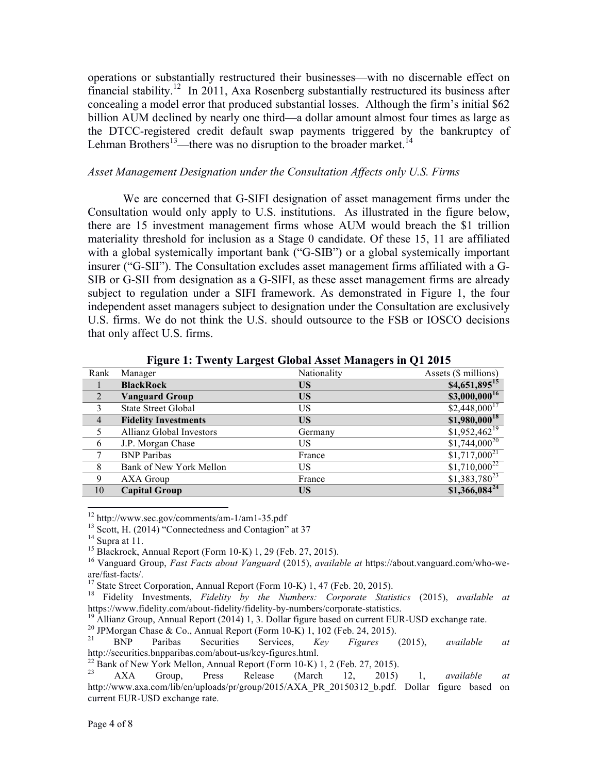operations or substantially restructured their businesses—with no discernable effect on financial stability.12 In 2011, Axa Rosenberg substantially restructured its business after concealing a model error that produced substantial losses. Although the firm's initial \$62 billion AUM declined by nearly one third—a dollar amount almost four times as large as the DTCC-registered credit default swap payments triggered by the bankruptcy of Lehman Brothers<sup>13</sup>—there was no disruption to the broader market.<sup>14</sup>

#### *Asset Management Designation under the Consultation Affects only U.S. Firms*

We are concerned that G-SIFI designation of asset management firms under the Consultation would only apply to U.S. institutions. As illustrated in the figure below, there are 15 investment management firms whose AUM would breach the \$1 trillion materiality threshold for inclusion as a Stage 0 candidate. Of these 15, 11 are affiliated with a global systemically important bank ("G-SIB") or a global systemically important insurer ("G-SII"). The Consultation excludes asset management firms affiliated with a G-SIB or G-SII from designation as a G-SIFI, as these asset management firms are already subject to regulation under a SIFI framework. As demonstrated in Figure 1, the four independent asset managers subject to designation under the Consultation are exclusively U.S. firms. We do not think the U.S. should outsource to the FSB or IOSCO decisions that only affect U.S. firms.

| Rank           | Manager                         | Nationality | Assets (\$ millions)       |
|----------------|---------------------------------|-------------|----------------------------|
|                | <b>BlackRock</b>                | US          | $$4,651,895$ <sup>15</sup> |
| 2              | Vanguard Group                  | US          | $$3,000,000^{16}$          |
| 3              | <b>State Street Global</b>      | US          | $$2,448,000^{17}$          |
| $\overline{4}$ | <b>Fidelity Investments</b>     | US          | $$1,980,000$ <sup>18</sup> |
| 5              | <b>Allianz Global Investors</b> | Germany     | $\sqrt{1,952,462^{19}}$    |
| 6              | J.P. Morgan Chase               | US          | $$1,744,000^{20}$          |
| 7              | <b>BNP</b> Paribas              | France      | $$1,717,000^{21}$          |
| 8              | Bank of New York Mellon         | US          | $$1,710,000^{22}$$         |
| 9              | AXA Group                       | France      | $$1,383,780^{23}$          |
| 10             | <b>Capital Group</b>            | <b>US</b>   | $$1,366,084^{24}$$         |

**Figure 1: Twenty Largest Global Asset Managers in Q1 2015**

<sup>&</sup>lt;sup>12</sup> http://www.sec.gov/comments/am-1/am1-35.pdf<br>
<sup>13</sup> Scott, H. (2014) "Connectedness and Contagion" at 37<br>
<sup>14</sup> Supra at 11.<br>
<sup>15</sup> Blackrock, Annual Report (Form 10-K) 1, 29 (Feb. 27, 2015).<br>
<sup>16</sup> Vanguard Group, *Fast* 

are/fast-facts/.<br><sup>17</sup> State Street Corporation, Annual Report (Form 10-K) 1, 47 (Feb. 20, 2015).<br><sup>18</sup> Fidelity Investments, *Fidelity by the Numbers: Corporate Statistics* (2015), *available at*<br>https://www.fidelity.com/ab

<sup>&</sup>lt;sup>19</sup> Allianz Group, Annual Report (2014) 1, 3. Dollar figure based on current EUR-USD exchange rate.<br><sup>20</sup> JPMorgan Chase & Co., Annual Report (Form 10-K) 1, 102 (Feb. 24, 2015).<br><sup>21</sup> BNP Paribas Securities Services. *Key* 

http://securities.bnpparibas.com/about-us/key-figures.html.<br><sup>22</sup> Bank of New York Mellon, Annual Report (Form 10-K) 1, 2 (Feb. 27, 2015).<br><sup>23</sup> AXA Group, Press Release (March 12, 2015) 1, *available at* 

http://www.axa.com/lib/en/uploads/pr/group/2015/AXA\_PR\_20150312\_b.pdf. Dollar figure based on current EUR-USD exchange rate.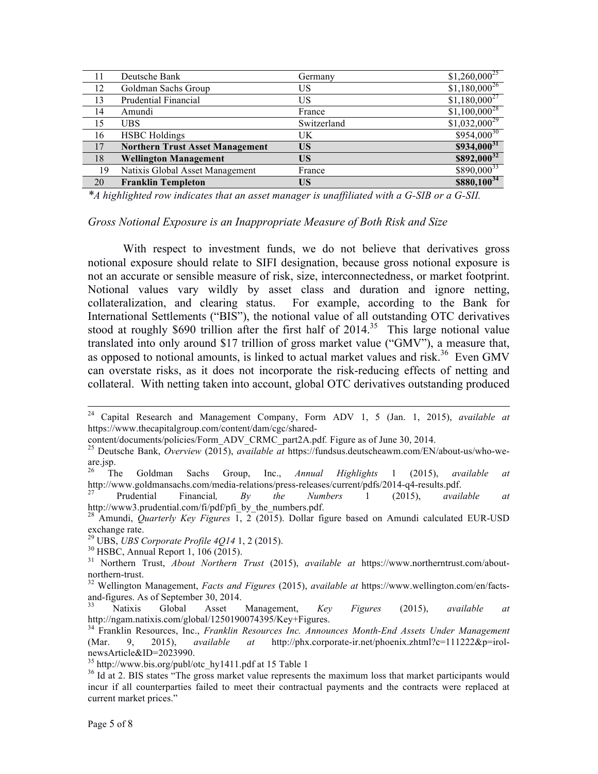| 11 | Deutsche Bank                          | Germany     | $$1,260,000^{25}$$      |
|----|----------------------------------------|-------------|-------------------------|
| 12 | Goldman Sachs Group                    | US          | $$1,180,000^{26}$       |
| 13 | Prudential Financial                   | US          | $$1,180,000^{27}$       |
| 14 | Amundi                                 | France      | $$1,100,000^{28}$$      |
| 15 | <b>UBS</b>                             | Switzerland | $\sqrt{1,032,000^{29}}$ |
| 16 | <b>HSBC</b> Holdings                   | UK          | $$954,000^{30}$         |
| 17 | <b>Northern Trust Asset Management</b> | <b>US</b>   | $$934,000^{31}$         |
| 18 | <b>Wellington Management</b>           | <b>US</b>   | $$892,000^{32}$$        |
| 19 | Natixis Global Asset Management        | France      | $$890,000^{33}$         |
| 20 | <b>Franklin Templeton</b>              | US          | $$880,100^{34}$         |

*\*A highlighted row indicates that an asset manager is unaffiliated with a G-SIB or a G-SII.*

#### *Gross Notional Exposure is an Inappropriate Measure of Both Risk and Size*

With respect to investment funds, we do not believe that derivatives gross notional exposure should relate to SIFI designation, because gross notional exposure is not an accurate or sensible measure of risk, size, interconnectedness, or market footprint. Notional values vary wildly by asset class and duration and ignore netting, collateralization, and clearing status. For example, according to the Bank for International Settlements ("BIS"), the notional value of all outstanding OTC derivatives stood at roughly \$690 trillion after the first half of  $2014$ <sup>35</sup>. This large notional value translated into only around \$17 trillion of gross market value ("GMV"), a measure that, as opposed to notional amounts, is linked to actual market values and risk.<sup>36</sup> Even GMV can overstate risks, as it does not incorporate the risk-reducing effects of netting and collateral. With netting taken into account, global OTC derivatives outstanding produced

 <sup>24</sup> Capital Research and Management Company, Form ADV 1, 5 (Jan. 1, 2015), *available at*  https://www.thecapitalgroup.com/content/dam/cgc/shared-

content/documents/policies/Form\_ADV\_CRMC\_part2A.pdf*.* Figure as of June 30, 2014. 25 Deutsche Bank, *Overview* (2015), *available at* https://fundsus.deutscheawm.com/EN/about-us/who-weare.jsp.<br> $rac{26}{\text{T}}$ 

<sup>26</sup> The Goldman Sachs Group, Inc., *Annual Highlights* 1 (2015), *available at*  http://www.goldmansachs.com/media-relations/press-releases/current/pdfs/2014-q4-results.pdf. 27 Prudential Financial*, By the Numbers* 1 (2015), *available at* 

http://www3.prudential.com/fi/pdf/pfi\_by\_the\_numbers.pdf. <sup>28</sup> Amundi, *Quarterly Key Figures* 1, 2 (2015). Dollar figure based on Amundi calculated EUR-USD

exchange rate.<br><sup>29</sup> UBS, *UBS Corporate Profile 4Q14* 1, 2 (2015).

<sup>&</sup>lt;sup>30</sup> HSBC, Annual Report 1, 106 (2015).<br><sup>31</sup> Northern Trust, *About Northern Trust* (2015), *available at* https://www.northerntrust.com/about-northern-trust.

<sup>&</sup>lt;sup>32</sup> Wellington Management, *Facts and Figures* (2015), *available at* https://www.wellington.com/en/factsand-figures. As of September 30, 2014.<br><sup>33</sup> Natixis Global Asset Management, *Key Figures* (2015), *available at* 

http://ngam.natixis.com/global/1250190074395/Key+Figures.

<sup>34</sup> Franklin Resources, Inc., *Franklin Resources Inc. Announces Month-End Assets Under Management*  (Mar. 9, 2015), *available at* http://phx.corporate-ir.net/phoenix.zhtml?c=111222&p=irolnewsArticle&ID=2023990.<br><sup>35</sup> http://www.bis.org/publ/otc\_hy1411.pdf at 15 Table 1

 $36$  Id at 2. BIS states "The gross market value represents the maximum loss that market participants would incur if all counterparties failed to meet their contractual payments and the contracts were replaced at current market prices."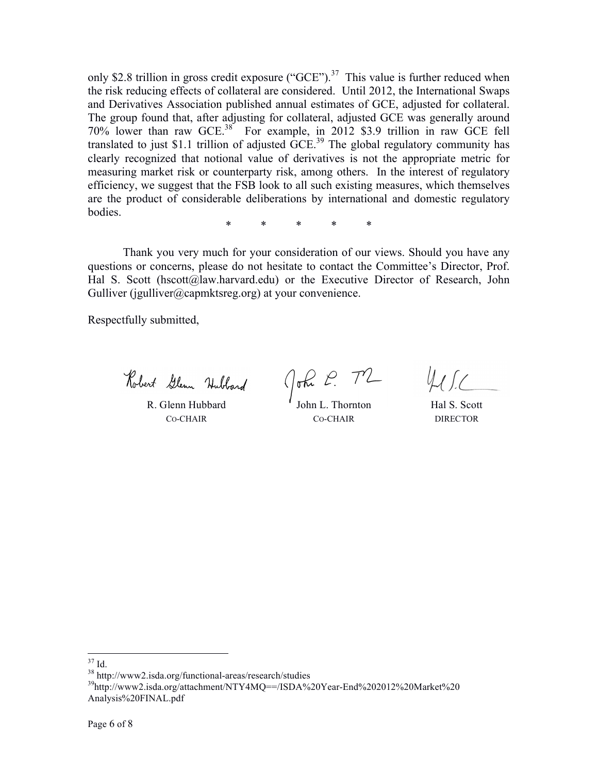only \$2.8 trillion in gross credit exposure ("GCE").<sup>37</sup> This value is further reduced when the risk reducing effects of collateral are considered. Until 2012, the International Swaps and Derivatives Association published annual estimates of GCE, adjusted for collateral. The group found that, after adjusting for collateral, adjusted GCE was generally around 70% lower than raw GCE.<sup>38</sup> For example, in 2012 \$3.9 trillion in raw GCE fell translated to just \$1.1 trillion of adjusted  $\overline{GCE}^{39}$  The global regulatory community has clearly recognized that notional value of derivatives is not the appropriate metric for measuring market risk or counterparty risk, among others. In the interest of regulatory efficiency, we suggest that the FSB look to all such existing measures, which themselves are the product of considerable deliberations by international and domestic regulatory bodies.

\* \* \* \* \*

Thank you very much for your consideration of our views. Should you have any questions or concerns, please do not hesitate to contact the Committee's Director, Prof. Hal S. Scott (hscott@law.harvard.edu) or the Executive Director of Research, John Gulliver (jgulliver@capmktsreg.org) at your convenience.

Respectfully submitted,

Robert Glenn Hubbard

R. Glenn Hubbard CO-CHAIR

John P. TZ

Hal S. Scott DIRECTOR

John L. Thornton CO-CHAIR

<sup>&</sup>lt;sup>37</sup> Id.<br><sup>38</sup> http://www2.isda.org/functional-areas/research/studies<br><sup>39</sup>http://www2.isda.org/attachment/NTY4MQ==/ISDA%20Year-End%202012%20Market%20 Analysis%20FINAL.pdf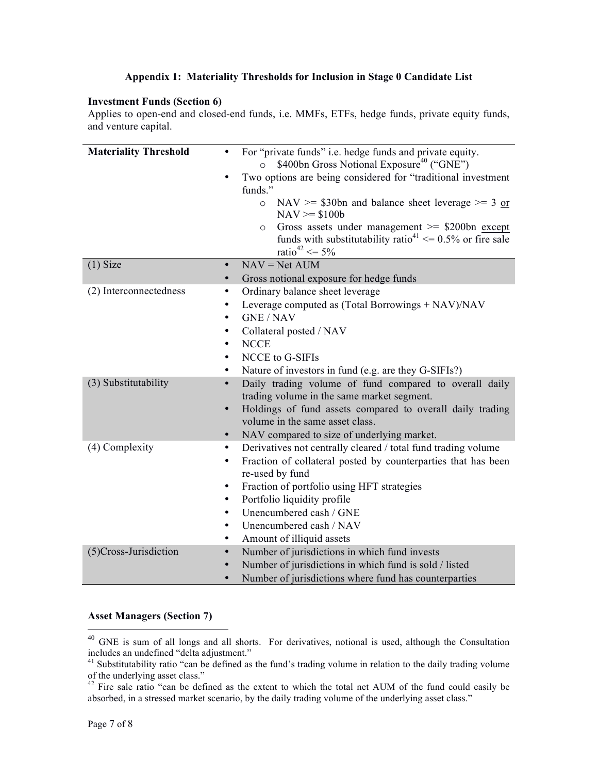## **Appendix 1: Materiality Thresholds for Inclusion in Stage 0 Candidate List**

#### **Investment Funds (Section 6)**

Applies to open-end and closed-end funds, i.e. MMFs, ETFs, hedge funds, private equity funds, and venture capital.

| <b>Materiality Threshold</b> | For "private funds" i.e. hedge funds and private equity.<br>$\bullet$<br>\$400bn Gross Notional Exposure <sup>40</sup> ("GNE")<br>$\circ$<br>Two options are being considered for "traditional investment<br>funds."<br>NAV $>=$ \$30bn and balance sheet leverage $>=$ 3 or<br>$\circ$<br>$NAV = $100b$<br>Gross assets under management $\ge$ \$200bn except<br>$\circ$<br>funds with substitutability ratio <sup>41</sup> $\leq$ 0.5% or fire sale<br>ratio <sup>42</sup> <= $5\%$ |
|------------------------------|---------------------------------------------------------------------------------------------------------------------------------------------------------------------------------------------------------------------------------------------------------------------------------------------------------------------------------------------------------------------------------------------------------------------------------------------------------------------------------------|
| $(1)$ Size                   | $NAV = Net AUM$<br>$\bullet$                                                                                                                                                                                                                                                                                                                                                                                                                                                          |
|                              | Gross notional exposure for hedge funds                                                                                                                                                                                                                                                                                                                                                                                                                                               |
| (2) Interconnectedness       | Ordinary balance sheet leverage<br>٠<br>Leverage computed as (Total Borrowings + NAV)/NAV<br><b>GNE/NAV</b><br>$\bullet$<br>Collateral posted / NAV<br><b>NCCE</b><br>$\bullet$<br>NCCE to G-SIFIs<br>$\bullet$<br>Nature of investors in fund (e.g. are they G-SIFIs?)<br>٠                                                                                                                                                                                                          |
| (3) Substitutability         | Daily trading volume of fund compared to overall daily<br>$\bullet$<br>trading volume in the same market segment.<br>Holdings of fund assets compared to overall daily trading<br>$\bullet$<br>volume in the same asset class.<br>NAV compared to size of underlying market.<br>$\bullet$                                                                                                                                                                                             |
| (4) Complexity               | Derivatives not centrally cleared / total fund trading volume<br>$\bullet$<br>Fraction of collateral posted by counterparties that has been<br>$\bullet$<br>re-used by fund<br>Fraction of portfolio using HFT strategies<br>٠<br>Portfolio liquidity profile<br>Unencumbered cash / GNE<br>$\bullet$<br>Unencumbered cash / NAV<br>Amount of illiquid assets<br>٠                                                                                                                    |
| (5)Cross-Jurisdiction        | Number of jurisdictions in which fund invests<br>Number of jurisdictions in which fund is sold / listed<br>Number of jurisdictions where fund has counterparties                                                                                                                                                                                                                                                                                                                      |

# **Asset Managers (Section 7)**

<sup>&</sup>lt;sup>40</sup> GNE is sum of all longs and all shorts. For derivatives, notional is used, although the Consultation includes an undefined "delta adjustment."

<sup>&</sup>lt;sup>41</sup> Substitutability ratio "can be defined as the fund's trading volume in relation to the daily trading volume of the underlying asset class."

 $42$  Fire sale ratio "can be defined as the extent to which the total net AUM of the fund could easily be absorbed, in a stressed market scenario, by the daily trading volume of the underlying asset class."